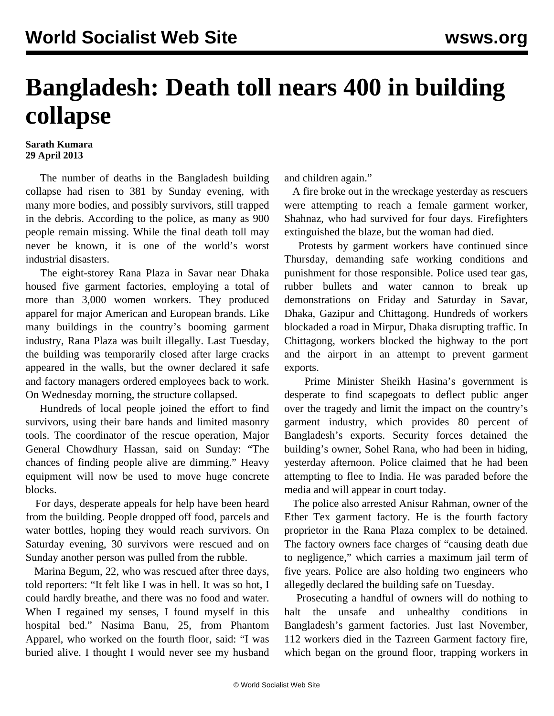## **Bangladesh: Death toll nears 400 in building collapse**

## **Sarath Kumara 29 April 2013**

 The number of deaths in the Bangladesh building collapse had risen to 381 by Sunday evening, with many more bodies, and possibly survivors, still trapped in the debris. According to the police, as many as 900 people remain missing. While the final death toll may never be known, it is one of the world's worst industrial disasters.

 The eight-storey Rana Plaza in Savar near Dhaka housed five garment factories, employing a total of more than 3,000 women workers. They produced apparel for major American and European brands. Like many buildings in the country's booming garment industry, Rana Plaza was built illegally. Last Tuesday, the building was temporarily closed after large cracks appeared in the walls, but the owner declared it safe and factory managers ordered employees back to work. On Wednesday morning, the structure collapsed.

 Hundreds of local people joined the effort to find survivors, using their bare hands and limited masonry tools. The coordinator of the rescue operation, Major General Chowdhury Hassan, said on Sunday: "The chances of finding people alive are dimming." Heavy equipment will now be used to move huge concrete blocks.

 For days, desperate appeals for help have been heard from the building. People dropped off food, parcels and water bottles, hoping they would reach survivors. On Saturday evening, 30 survivors were rescued and on Sunday another person was pulled from the rubble.

 Marina Begum, 22, who was rescued after three days, told reporters: "It felt like I was in hell. It was so hot, I could hardly breathe, and there was no food and water. When I regained my senses, I found myself in this hospital bed." Nasima Banu, 25, from Phantom Apparel, who worked on the fourth floor, said: "I was buried alive. I thought I would never see my husband and children again."

 A fire broke out in the wreckage yesterday as rescuers were attempting to reach a female garment worker, Shahnaz, who had survived for four days. Firefighters extinguished the blaze, but the woman had died.

 Protests by garment workers have continued since Thursday, demanding safe working conditions and punishment for those responsible. Police used tear gas, rubber bullets and water cannon to break up demonstrations on Friday and Saturday in Savar, Dhaka, Gazipur and Chittagong. Hundreds of workers blockaded a road in Mirpur, Dhaka disrupting traffic. In Chittagong, workers blocked the highway to the port and the airport in an attempt to prevent garment exports.

 Prime Minister Sheikh Hasina's government is desperate to find scapegoats to deflect public anger over the tragedy and limit the impact on the country's garment industry, which provides 80 percent of Bangladesh's exports. Security forces detained the building's owner, Sohel Rana, who had been in hiding, yesterday afternoon. Police claimed that he had been attempting to flee to India. He was paraded before the media and will appear in court today.

 The police also arrested Anisur Rahman, owner of the Ether Tex garment factory. He is the fourth factory proprietor in the Rana Plaza complex to be detained. The factory owners face charges of "causing death due to negligence," which carries a maximum jail term of five years. Police are also holding two engineers who allegedly declared the building safe on Tuesday.

 Prosecuting a handful of owners will do nothing to halt the unsafe and unhealthy conditions in Bangladesh's garment factories. Just last November, 112 workers died in the Tazreen Garment factory fire, which began on the ground floor, trapping workers in